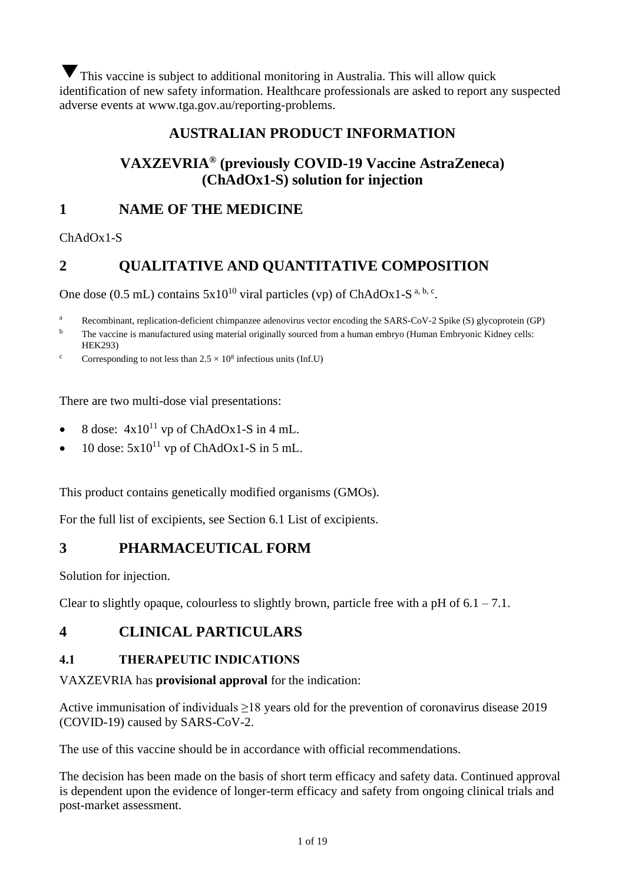This vaccine is subject to additional monitoring in Australia. This will allow quick identification of new safety information. Healthcare professionals are asked to report any suspected adverse events at www.tga.gov.au/reporting-problems.

# **AUSTRALIAN PRODUCT INFORMATION**

# **VAXZEVRIA® (previously COVID-19 Vaccine AstraZeneca) (ChAdOx1-S) solution for injection**

# **1 NAME OF THE MEDICINE**

ChAdOx1-S

# **2 QUALITATIVE AND QUANTITATIVE COMPOSITION**

One dose (0.5 mL) contains  $5x10^{10}$  viral particles (vp) of ChAdOx1-S<sup>a, b, c</sup>.

<sup>a</sup> Recombinant, replication-deficient chimpanzee adenovirus vector encoding the SARS-CoV-2 Spike (S) glycoprotein (GP)

<sup>b</sup> The vaccine is manufactured using material originally sourced from a human embryo (Human Embryonic Kidney cells: HEK293)

<sup>c</sup> Corresponding to not less than  $2.5 \times 10^8$  infectious units (Inf.U)

There are two multi-dose vial presentations:

- 8 dose:  $4x10^{11}$  vp of ChAdOx1-S in 4 mL.
- 10 dose:  $5x10^{11}$  vp of ChAdOx1-S in 5 mL.

This product contains genetically modified organisms (GMOs).

For the full list of excipients, see Section [6.1](#page-16-0) [List of excipients.](#page-16-0)

# **3 PHARMACEUTICAL FORM**

Solution for injection.

Clear to slightly opaque, colourless to slightly brown, particle free with a pH of  $6.1 - 7.1$ .

# **4 CLINICAL PARTICULARS**

# **4.1 THERAPEUTIC INDICATIONS**

## VAXZEVRIA has **provisional approval** for the indication:

Active immunisation of individuals ≥18 years old for the prevention of coronavirus disease 2019 (COVID-19) caused by SARS-CoV-2.

The use of this vaccine should be in accordance with official recommendations.

The decision has been made on the basis of short term efficacy and safety data. Continued approval is dependent upon the evidence of longer-term efficacy and safety from ongoing clinical trials and post-market assessment.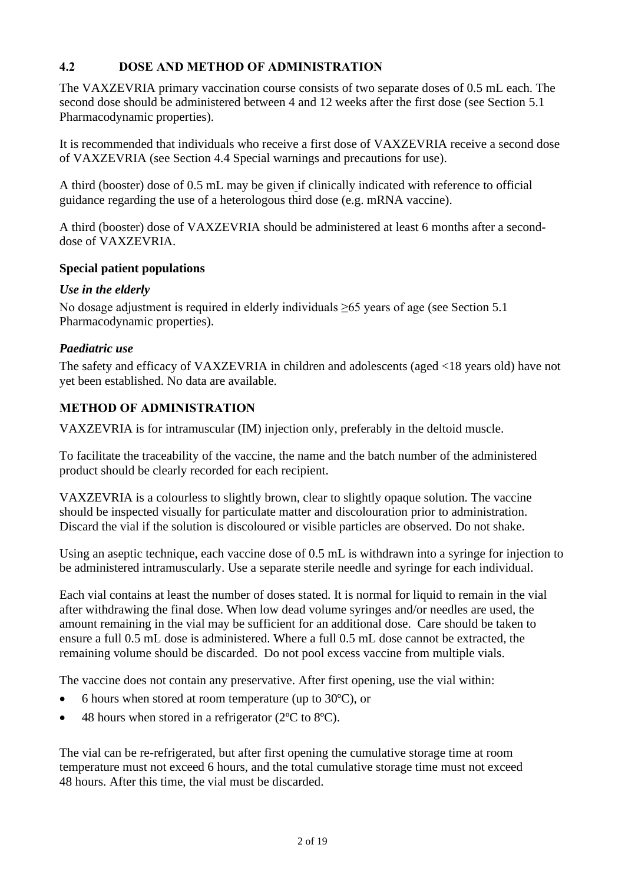# <span id="page-1-0"></span>**4.2 DOSE AND METHOD OF ADMINISTRATION**

The VAXZEVRIA primary vaccination course consists of two separate doses of 0.5 mL each. The second dose should be administered between 4 and 12 weeks after the first dose (see Section [5.1](#page-9-0) [Pharmacodynamic properties\)](#page-9-0).

It is recommended that individuals who receive a first dose of VAXZEVRIA receive a second dose of VAXZEVRIA (see Section [4.4](#page-2-0) [Special warnings and precautions for use\)](#page-2-0).

A third (booster) dose of 0.5 mL may be given if clinically indicated with reference to official guidance regarding the use of a heterologous third dose (e.g. mRNA vaccine).

A third (booster) dose of VAXZEVRIA should be administered at least 6 months after a seconddose of VAXZEVRIA.

## **Special patient populations**

## *Use in the elderly*

No dosage adjustment is required in elderly individuals ≥65 years of age (see Section [5.1](#page-9-0)) [Pharmacodynamic properties\)](#page-9-0).

## *Paediatric use*

The safety and efficacy of VAXZEVRIA in children and adolescents (aged <18 years old) have not yet been established. No data are available.

# **METHOD OF ADMINISTRATION**

VAXZEVRIA is for intramuscular (IM) injection only, preferably in the deltoid muscle.

To facilitate the traceability of the vaccine, the name and the batch number of the administered product should be clearly recorded for each recipient.

VAXZEVRIA is a colourless to slightly brown, clear to slightly opaque solution. The vaccine should be inspected visually for particulate matter and discolouration prior to administration. Discard the vial if the solution is discoloured or visible particles are observed. Do not shake.

Using an aseptic technique, each vaccine dose of 0.5 mL is withdrawn into a syringe for injection to be administered intramuscularly. Use a separate sterile needle and syringe for each individual.

Each vial contains at least the number of doses stated. It is normal for liquid to remain in the vial after withdrawing the final dose. When low dead volume syringes and/or needles are used, the amount remaining in the vial may be sufficient for an additional dose. Care should be taken to ensure a full 0.5 mL dose is administered. Where a full 0.5 mL dose cannot be extracted, the remaining volume should be discarded. Do not pool excess vaccine from multiple vials.

The vaccine does not contain any preservative. After first opening, use the vial within:

- 6 hours when stored at room temperature (up to 30ºC), or
- 48 hours when stored in a refrigerator (2°C to 8°C).

The vial can be re-refrigerated, but after first opening the cumulative storage time at room temperature must not exceed 6 hours, and the total cumulative storage time must not exceed 48 hours. After this time, the vial must be discarded.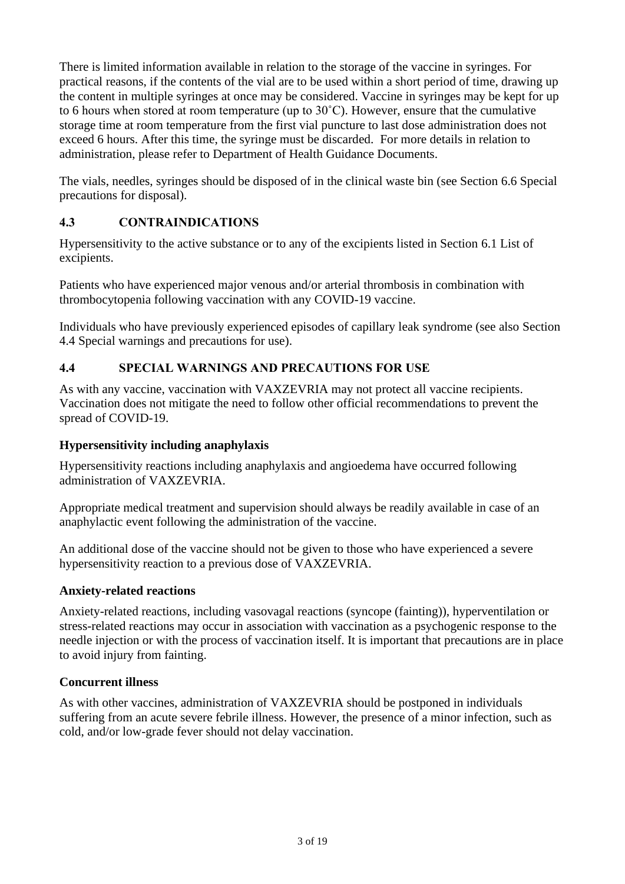There is limited information available in relation to the storage of the vaccine in syringes. For practical reasons, if the contents of the vial are to be used within a short period of time, drawing up the content in multiple syringes at once may be considered. Vaccine in syringes may be kept for up to 6 hours when stored at room temperature (up to 30˚C). However, ensure that the cumulative storage time at room temperature from the first vial puncture to last dose administration does not exceed 6 hours. After this time, the syringe must be discarded. For more details in relation to administration, please refer to Department of Health Guidance Documents.

The vials, needles, syringes should be disposed of in the clinical waste bin (see Section [6.6](#page-17-0) [Special](#page-17-0)  [precautions for disposal\)](#page-17-0).

# <span id="page-2-1"></span>**4.3 CONTRAINDICATIONS**

Hypersensitivity to the active substance or to any of the excipients listed in Section [6.1](#page-16-0) [List of](#page-16-0)  [excipients.](#page-16-0)

Patients who have experienced major venous and/or arterial thrombosis in combination with thrombocytopenia following vaccination with any COVID-19 vaccine.

Individuals who have previously experienced episodes of capillary leak syndrome (see also Section [4.4](#page-2-0) [Special warnings and precautions for use\)](#page-2-0).

# <span id="page-2-0"></span>**4.4 SPECIAL WARNINGS AND PRECAUTIONS FOR USE**

As with any vaccine, vaccination with VAXZEVRIA may not protect all vaccine recipients. Vaccination does not mitigate the need to follow other official recommendations to prevent the spread of COVID-19.

## **Hypersensitivity including anaphylaxis**

Hypersensitivity reactions including anaphylaxis and angioedema have occurred following administration of VAXZEVRIA.

Appropriate medical treatment and supervision should always be readily available in case of an anaphylactic event following the administration of the vaccine.

An additional dose of the vaccine should not be given to those who have experienced a severe hypersensitivity reaction to a previous dose of VAXZEVRIA.

## **Anxiety-related reactions**

Anxiety-related reactions, including vasovagal reactions (syncope (fainting)), hyperventilation or stress-related reactions may occur in association with vaccination as a psychogenic response to the needle injection or with the process of vaccination itself. It is important that precautions are in place to avoid injury from fainting.

## **Concurrent illness**

As with other vaccines, administration of VAXZEVRIA should be postponed in individuals suffering from an acute severe febrile illness. However, the presence of a minor infection, such as cold, and/or low-grade fever should not delay vaccination.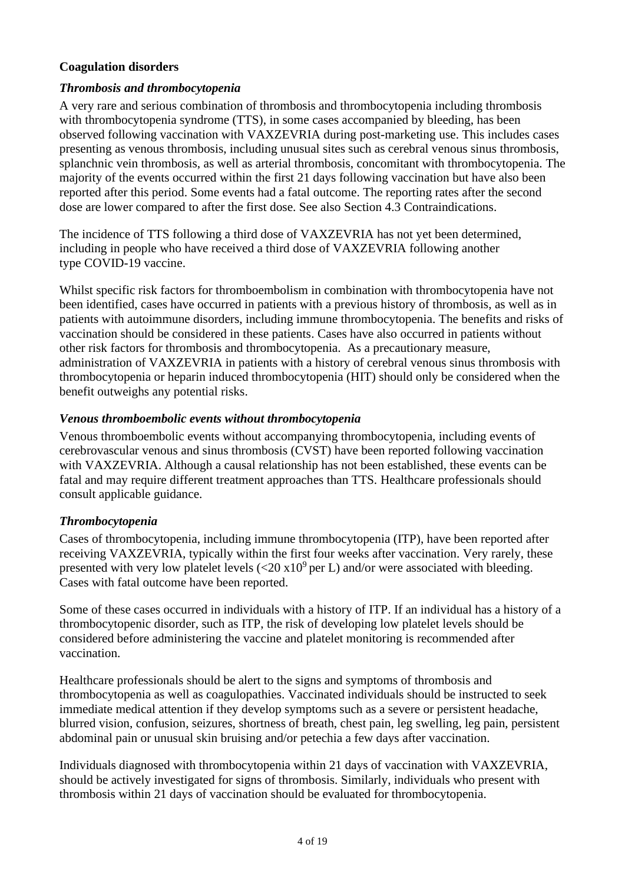## **Coagulation disorders**

## *Thrombosis and thrombocytopenia*

A very rare and serious combination of thrombosis and thrombocytopenia including thrombosis with thrombocytopenia syndrome (TTS), in some cases accompanied by bleeding, has been observed following vaccination with VAXZEVRIA during post-marketing use. This includes cases presenting as venous thrombosis, including unusual sites such as cerebral venous sinus thrombosis, splanchnic vein thrombosis, as well as arterial thrombosis, concomitant with thrombocytopenia. The majority of the events occurred within the first 21 days following vaccination but have also been reported after this period. Some events had a fatal outcome. The reporting rates after the second dose are lower compared to after the first dose. See also Section [4.3](#page-2-1) [Contraindications.](#page-2-1)

The incidence of TTS following a third dose of VAXZEVRIA has not yet been determined, including in people who have received a third dose of VAXZEVRIA following another type COVID-19 vaccine.

Whilst specific risk factors for thromboembolism in combination with thrombocytopenia have not been identified, cases have occurred in patients with a previous history of thrombosis, as well as in patients with autoimmune disorders, including immune thrombocytopenia. The benefits and risks of vaccination should be considered in these patients. Cases have also occurred in patients without other risk factors for thrombosis and thrombocytopenia. As a precautionary measure, administration of VAXZEVRIA in patients with a history of cerebral venous sinus thrombosis with thrombocytopenia or heparin induced thrombocytopenia (HIT) should only be considered when the benefit outweighs any potential risks.

#### *Venous thromboembolic events without thrombocytopenia*

Venous thromboembolic events without accompanying thrombocytopenia, including events of cerebrovascular venous and sinus thrombosis (CVST) have been reported following vaccination with VAXZEVRIA. Although a causal relationship has not been established, these events can be fatal and may require different treatment approaches than TTS. Healthcare professionals should consult applicable guidance.

## *Thrombocytopenia*

Cases of thrombocytopenia, including immune thrombocytopenia (ITP), have been reported after receiving VAXZEVRIA, typically within the first four weeks after vaccination. Very rarely, these presented with very low platelet levels ( $\langle 20 \times 10^9 \text{ per L} \rangle$  and/or were associated with bleeding. Cases with fatal outcome have been reported.

Some of these cases occurred in individuals with a history of ITP. If an individual has a history of a thrombocytopenic disorder, such as ITP, the risk of developing low platelet levels should be considered before administering the vaccine and platelet monitoring is recommended after vaccination.

Healthcare professionals should be alert to the signs and symptoms of thrombosis and thrombocytopenia as well as coagulopathies. Vaccinated individuals should be instructed to seek immediate medical attention if they develop symptoms such as a severe or persistent headache, blurred vision, confusion, seizures, shortness of breath, chest pain, leg swelling, leg pain, persistent abdominal pain or unusual skin bruising and/or petechia a few days after vaccination.

Individuals diagnosed with thrombocytopenia within 21 days of vaccination with VAXZEVRIA, should be actively investigated for signs of thrombosis. Similarly, individuals who present with thrombosis within 21 days of vaccination should be evaluated for thrombocytopenia.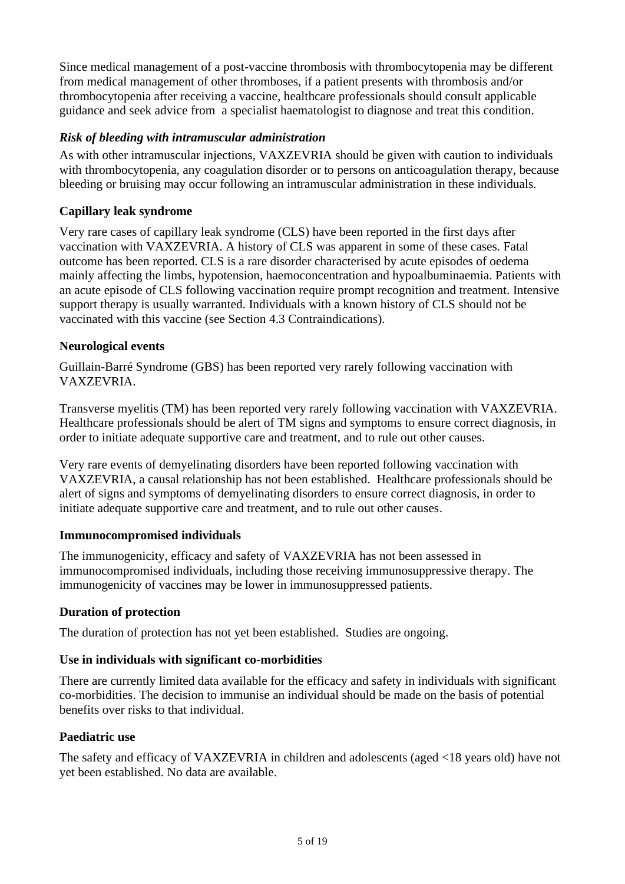Since medical management of a post-vaccine thrombosis with thrombocytopenia may be different from medical management of other thromboses, if a patient presents with thrombosis and/or thrombocytopenia after receiving a vaccine, healthcare professionals should consult applicable guidance and seek advice from a specialist haematologist to diagnose and treat this condition.

## *Risk of bleeding with intramuscular administration*

As with other intramuscular injections, VAXZEVRIA should be given with caution to individuals with thrombocytopenia, any coagulation disorder or to persons on anticoagulation therapy, because bleeding or bruising may occur following an intramuscular administration in these individuals.

## **Capillary leak syndrome**

Very rare cases of capillary leak syndrome (CLS) have been reported in the first days after vaccination with VAXZEVRIA. A history of CLS was apparent in some of these cases. Fatal outcome has been reported. CLS is a rare disorder characterised by acute episodes of oedema mainly affecting the limbs, hypotension, haemoconcentration and hypoalbuminaemia. Patients with an acute episode of CLS following vaccination require prompt recognition and treatment. Intensive support therapy is usually warranted. Individuals with a known history of CLS should not be vaccinated with this vaccine (see Section [4.3](#page-2-1) [Contraindications\)](#page-2-1).

## **Neurological events**

Guillain-Barré Syndrome (GBS) has been reported very rarely following vaccination with VAXZEVRIA.

Transverse myelitis (TM) has been reported very rarely following vaccination with VAXZEVRIA. Healthcare professionals should be alert of TM signs and symptoms to ensure correct diagnosis, in order to initiate adequate supportive care and treatment, and to rule out other causes.

Very rare events of demyelinating disorders have been reported following vaccination with VAXZEVRIA, a causal relationship has not been established. Healthcare professionals should be alert of signs and symptoms of demyelinating disorders to ensure correct diagnosis, in order to initiate adequate supportive care and treatment, and to rule out other causes.

## **Immunocompromised individuals**

The immunogenicity, efficacy and safety of VAXZEVRIA has not been assessed in immunocompromised individuals, including those receiving immunosuppressive therapy. The immunogenicity of vaccines may be lower in immunosuppressed patients.

## **Duration of protection**

The duration of protection has not yet been established. Studies are ongoing.

## **Use in individuals with significant co-morbidities**

There are currently limited data available for the efficacy and safety in individuals with significant co-morbidities. The decision to immunise an individual should be made on the basis of potential benefits over risks to that individual.

## **Paediatric use**

The safety and efficacy of VAXZEVRIA in children and adolescents (aged <18 years old) have not yet been established. No data are available.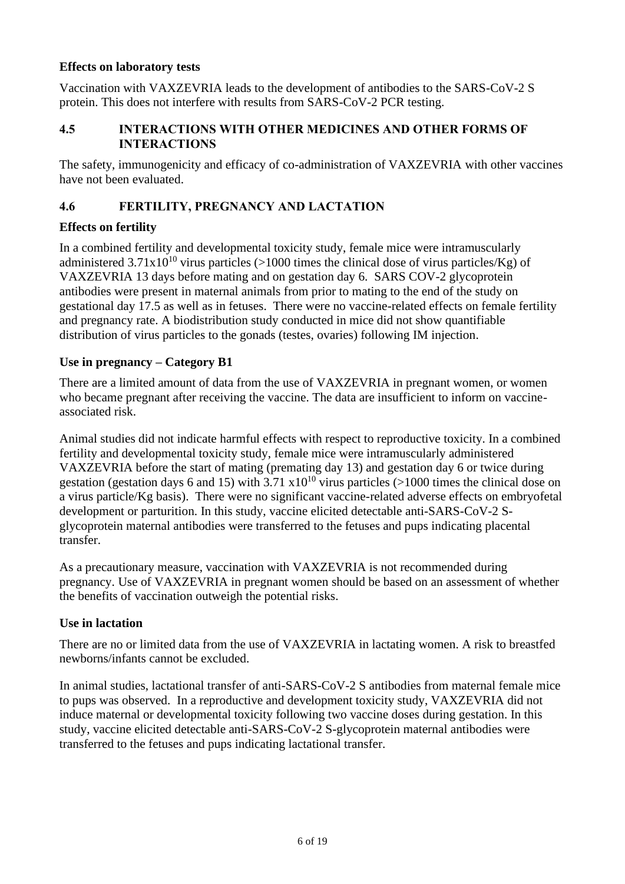## **Effects on laboratory tests**

Vaccination with VAXZEVRIA leads to the development of antibodies to the SARS-CoV-2 S protein. This does not interfere with results from SARS-CoV-2 PCR testing.

#### **4.5 INTERACTIONS WITH OTHER MEDICINES AND OTHER FORMS OF INTERACTIONS**

The safety, immunogenicity and efficacy of co-administration of VAXZEVRIA with other vaccines have not been evaluated.

## **4.6 FERTILITY, PREGNANCY AND LACTATION**

## **Effects on fertility**

In a combined fertility and developmental toxicity study, female mice were intramuscularly administered  $3.71x10^{10}$  virus particles (>1000 times the clinical dose of virus particles/Kg) of VAXZEVRIA 13 days before mating and on gestation day 6. SARS COV-2 glycoprotein antibodies were present in maternal animals from prior to mating to the end of the study on gestational day 17.5 as well as in fetuses. There were no vaccine-related effects on female fertility and pregnancy rate. A biodistribution study conducted in mice did not show quantifiable distribution of virus particles to the gonads (testes, ovaries) following IM injection.

## **Use in pregnancy – Category B1**

There are a limited amount of data from the use of VAXZEVRIA in pregnant women, or women who became pregnant after receiving the vaccine. The data are insufficient to inform on vaccineassociated risk.

Animal studies did not indicate harmful effects with respect to reproductive toxicity. In a combined fertility and developmental toxicity study, female mice were intramuscularly administered VAXZEVRIA before the start of mating (premating day 13) and gestation day 6 or twice during gestation (gestation days 6 and 15) with  $3.71 \times 10^{10}$  virus particles (>1000 times the clinical dose on a virus particle/Kg basis). There were no significant vaccine-related adverse effects on embryofetal development or parturition. In this study, vaccine elicited detectable anti-SARS-CoV-2 Sglycoprotein maternal antibodies were transferred to the fetuses and pups indicating placental transfer.

As a precautionary measure, vaccination with VAXZEVRIA is not recommended during pregnancy. Use of VAXZEVRIA in pregnant women should be based on an assessment of whether the benefits of vaccination outweigh the potential risks.

## **Use in lactation**

There are no or limited data from the use of VAXZEVRIA in lactating women. A risk to breastfed newborns/infants cannot be excluded.

In animal studies, lactational transfer of anti-SARS-CoV-2 S antibodies from maternal female mice to pups was observed. In a reproductive and development toxicity study, VAXZEVRIA did not induce maternal or developmental toxicity following two vaccine doses during gestation. In this study, vaccine elicited detectable anti-SARS-CoV-2 S-glycoprotein maternal antibodies were transferred to the fetuses and pups indicating lactational transfer.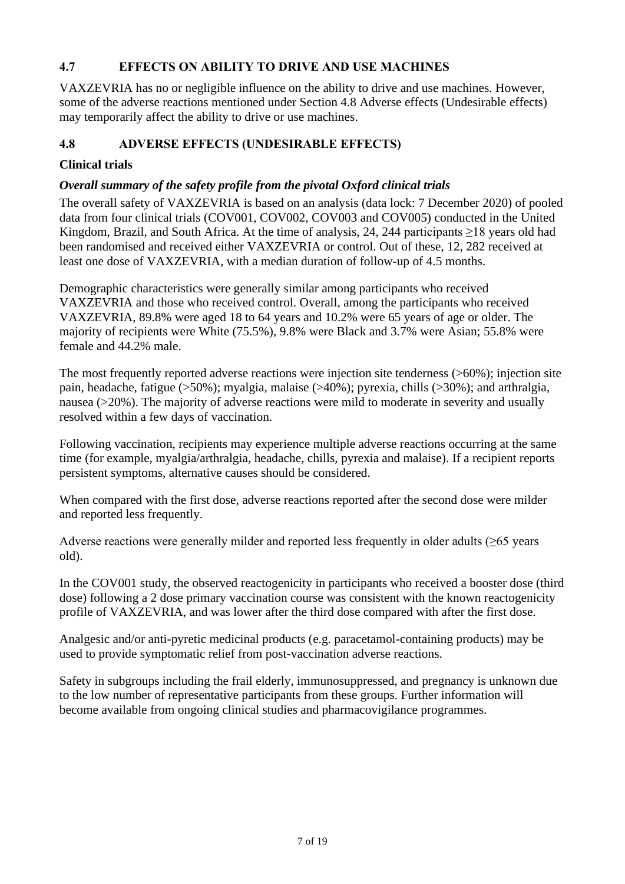# **4.7 EFFECTS ON ABILITY TO DRIVE AND USE MACHINES**

VAXZEVRIA has no or negligible influence on the ability to drive and use machines. However, some of the adverse reactions mentioned under Section [4.8](#page-6-0) [Adverse effects \(Undesirable effects\)](#page-6-0) may temporarily affect the ability to drive or use machines.

# <span id="page-6-0"></span>**4.8 ADVERSE EFFECTS (UNDESIRABLE EFFECTS)**

# **Clinical trials**

# *Overall summary of the safety profile from the pivotal Oxford clinical trials*

The overall safety of VAXZEVRIA is based on an analysis (data lock: 7 December 2020) of pooled data from four clinical trials (COV001, COV002, COV003 and COV005) conducted in the United Kingdom, Brazil, and South Africa. At the time of analysis, 24, 244 participants ≥18 years old had been randomised and received either VAXZEVRIA or control. Out of these, 12, 282 received at least one dose of VAXZEVRIA, with a median duration of follow-up of 4.5 months.

Demographic characteristics were generally similar among participants who received VAXZEVRIA and those who received control. Overall, among the participants who received VAXZEVRIA, 89.8% were aged 18 to 64 years and 10.2% were 65 years of age or older. The majority of recipients were White (75.5%), 9.8% were Black and 3.7% were Asian; 55.8% were female and 44.2% male.

The most frequently reported adverse reactions were injection site tenderness (>60%); injection site pain, headache, fatigue (>50%); myalgia, malaise (>40%); pyrexia, chills (>30%); and arthralgia, nausea (>20%). The majority of adverse reactions were mild to moderate in severity and usually resolved within a few days of vaccination.

Following vaccination, recipients may experience multiple adverse reactions occurring at the same time (for example, myalgia/arthralgia, headache, chills, pyrexia and malaise). If a recipient reports persistent symptoms, alternative causes should be considered.

When compared with the first dose, adverse reactions reported after the second dose were milder and reported less frequently.

Adverse reactions were generally milder and reported less frequently in older adults  $(\geq 65$  years old).

In the COV001 study, the observed reactogenicity in participants who received a booster dose (third dose) following a 2 dose primary vaccination course was consistent with the known reactogenicity profile of VAXZEVRIA, and was lower after the third dose compared with after the first dose.

Analgesic and/or anti-pyretic medicinal products (e.g. paracetamol-containing products) may be used to provide symptomatic relief from post-vaccination adverse reactions.

Safety in subgroups including the frail elderly, immunosuppressed, and pregnancy is unknown due to the low number of representative participants from these groups. Further information will become available from ongoing clinical studies and pharmacovigilance programmes.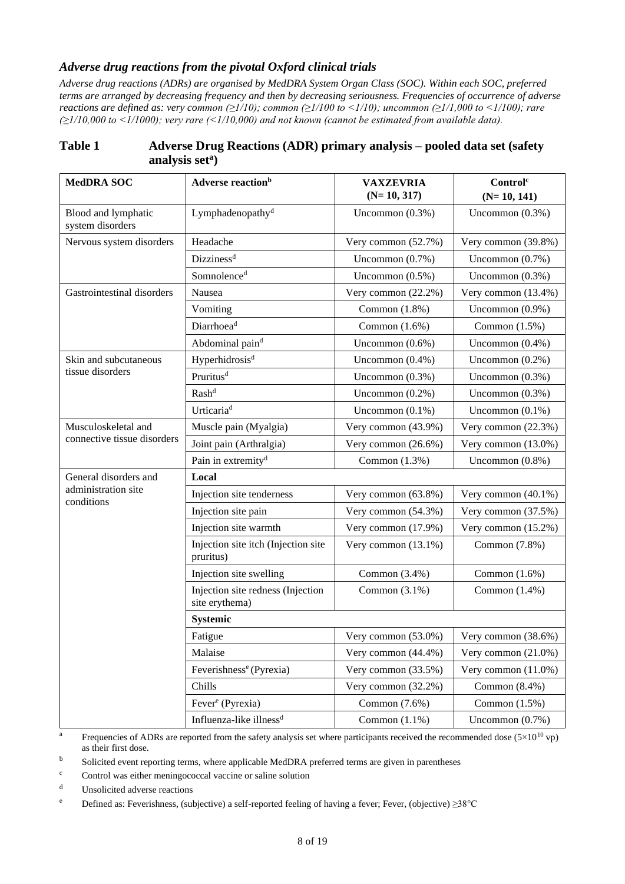#### *Adverse drug reactions from the pivotal Oxford clinical trials*

*Adverse drug reactions (ADRs) are organised by MedDRA System Organ Class (SOC). Within each SOC, preferred terms are arranged by decreasing frequency and then by decreasing seriousness. Frequencies of occurrence of adverse reactions are defined as: very common (≥1/10); common (≥1/100 to <1/10); uncommon (≥1/1,000 to <1/100); rare (≥1/10,000 to <1/1000); very rare (<1/10,000) and not known (cannot be estimated from available data).*

| <b>MedDRA SOC</b>                       | Adverse reaction <sup>b</sup><br><b>VAXZEVRIA</b><br>$(N=10, 317)$      |                        | Control <sup>c</sup><br>$(N=10, 141)$ |  |  |
|-----------------------------------------|-------------------------------------------------------------------------|------------------------|---------------------------------------|--|--|
| Blood and lymphatic<br>system disorders | Lymphadenopathy <sup>d</sup>                                            | Uncommon $(0.3\%)$     | Uncommon $(0.3\%)$                    |  |  |
| Nervous system disorders                | Headache                                                                | Very common (52.7%)    | Very common (39.8%)                   |  |  |
|                                         | Dizziness <sup>d</sup>                                                  | Uncommon $(0.7\%)$     | Uncommon $(0.7\%)$                    |  |  |
|                                         | Somnolence <sup>d</sup>                                                 | Uncommon $(0.5\%)$     | Uncommon $(0.3\%)$                    |  |  |
| Gastrointestinal disorders              | Nausea                                                                  | Very common (22.2%)    | Very common (13.4%)                   |  |  |
|                                         | Vomiting<br>Common (1.8%)                                               |                        | Uncommon $(0.9\%)$                    |  |  |
|                                         | Diarrhoea <sup>d</sup>                                                  | Common (1.6%)          | Common $(1.5\%)$                      |  |  |
|                                         | Abdominal paind                                                         | Uncommon $(0.6\%)$     | Uncommon $(0.4\%)$                    |  |  |
| Skin and subcutaneous                   | Hyperhidrosis <sup>d</sup>                                              | Uncommon (0.4%)        | Uncommon $(0.2\%)$                    |  |  |
| tissue disorders                        | Pruritus <sup>d</sup>                                                   | Uncommon $(0.3\%)$     | Uncommon $(0.3\%)$                    |  |  |
|                                         | Rash <sup>d</sup>                                                       | Uncommon $(0.2\%)$     | Uncommon $(0.3\%)$                    |  |  |
|                                         | Urticaria <sup>d</sup>                                                  | Uncommon $(0.1\%)$     | Uncommon $(0.1\%)$                    |  |  |
| Musculoskeletal and                     | Muscle pain (Myalgia)                                                   | Very common (43.9%)    | Very common (22.3%)                   |  |  |
| connective tissue disorders             | Joint pain (Arthralgia)                                                 | Very common $(26.6\%)$ | Very common (13.0%)                   |  |  |
|                                         | Pain in extremity <sup>d</sup>                                          | Common (1.3%)          | Uncommon $(0.8\%)$                    |  |  |
| General disorders and                   | Local                                                                   |                        |                                       |  |  |
| administration site<br>conditions       | Injection site tenderness                                               | Very common (63.8%)    | Very common (40.1%)                   |  |  |
|                                         | Injection site pain                                                     | Very common (54.3%)    | Very common (37.5%)                   |  |  |
|                                         | Injection site warmth                                                   | Very common (17.9%)    | Very common (15.2%)                   |  |  |
|                                         | Injection site itch (Injection site<br>pruritus)                        | Very common $(13.1\%)$ | Common (7.8%)                         |  |  |
|                                         | Injection site swelling                                                 | Common (3.4%)          | Common $(1.6\%)$                      |  |  |
|                                         | Injection site redness (Injection<br>Common $(3.1\%)$<br>site erythema) |                        | Common $(1.4\%)$                      |  |  |
|                                         | Systemic                                                                |                        |                                       |  |  |
|                                         | Fatigue                                                                 | Very common (53.0%)    | Very common (38.6%)                   |  |  |
|                                         | Malaise                                                                 | Very common (44.4%)    | Very common $(21.0\%)$                |  |  |
|                                         | Feverishness <sup>e</sup> (Pyrexia)                                     | Very common (33.5%)    | Very common (11.0%)                   |  |  |
|                                         | Chills                                                                  | Very common (32.2%)    | Common $(8.4\%)$                      |  |  |
|                                         | Fever <sup>e</sup> (Pyrexia)                                            | Common (7.6%)          | Common $(1.5\%)$                      |  |  |
|                                         | Influenza-like illness <sup>d</sup>                                     | Common $(1.1\%)$       | Uncommon $(0.7\%)$                    |  |  |

## **Table 1 Adverse Drug Reactions (ADR) primary analysis – pooled data set (safety analysis set<sup>a</sup> )**

<sup>a</sup> Frequencies of ADRs are reported from the safety analysis set where participants received the recommended dose  $(5\times10^{10} \text{ vp})$ as their first dose.

<sup>b</sup> Solicited event reporting terms, where applicable MedDRA preferred terms are given in parentheses

<sup>c</sup> Control was either meningococcal vaccine or saline solution

<sup>d</sup> Unsolicited adverse reactions

<sup>e</sup> Defined as: Feverishness, (subjective) a self-reported feeling of having a fever; Fever, (objective) ≥38°C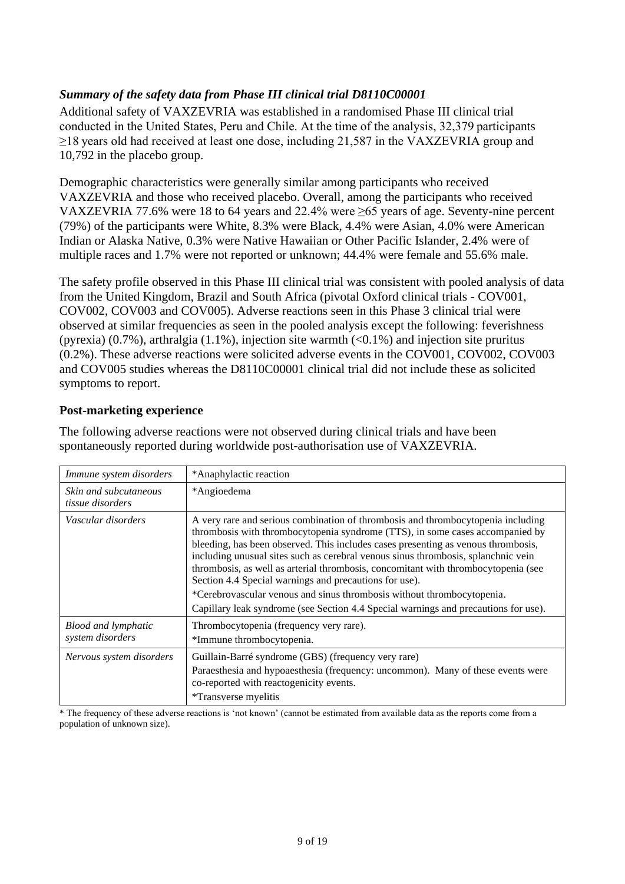# *Summary of the safety data from Phase III clinical trial D8110C00001*

Additional safety of VAXZEVRIA was established in a randomised Phase III clinical trial conducted in the United States, Peru and Chile. At the time of the analysis, 32,379 participants ≥18 years old had received at least one dose, including 21,587 in the VAXZEVRIA group and 10,792 in the placebo group.

Demographic characteristics were generally similar among participants who received VAXZEVRIA and those who received placebo. Overall, among the participants who received VAXZEVRIA 77.6% were 18 to 64 years and 22.4% were ≥65 years of age. Seventy-nine percent (79%) of the participants were White, 8.3% were Black, 4.4% were Asian, 4.0% were American Indian or Alaska Native, 0.3% were Native Hawaiian or Other Pacific Islander, 2.4% were of multiple races and 1.7% were not reported or unknown; 44.4% were female and 55.6% male.

The safety profile observed in this Phase III clinical trial was consistent with pooled analysis of data from the United Kingdom, Brazil and South Africa (pivotal Oxford clinical trials - COV001, COV002, COV003 and COV005). Adverse reactions seen in this Phase 3 clinical trial were observed at similar frequencies as seen in the pooled analysis except the following: feverishness (pyrexia)  $(0.7\%)$ , arthralgia  $(1.1\%)$ , injection site warmth  $(\leq 0.1\%)$  and injection site pruritus (0.2%). These adverse reactions were solicited adverse events in the COV001, COV002, COV003 and COV005 studies whereas the D8110C00001 clinical trial did not include these as solicited symptoms to report.

#### **Post-marketing experience**

| Immune system disorders                        | *Anaphylactic reaction                                                                                                                                                                                                                                                                                                                                                                                                                                                                                                                                                                                                                                       |
|------------------------------------------------|--------------------------------------------------------------------------------------------------------------------------------------------------------------------------------------------------------------------------------------------------------------------------------------------------------------------------------------------------------------------------------------------------------------------------------------------------------------------------------------------------------------------------------------------------------------------------------------------------------------------------------------------------------------|
| Skin and subcutaneous<br>tissue disorders      | *Angioedema                                                                                                                                                                                                                                                                                                                                                                                                                                                                                                                                                                                                                                                  |
| Vascular disorders                             | A very rare and serious combination of thrombosis and thrombocytopenia including<br>thrombosis with thrombocytopenia syndrome (TTS), in some cases accompanied by<br>bleeding, has been observed. This includes cases presenting as venous thrombosis,<br>including unusual sites such as cerebral venous sinus thrombosis, splanchnic vein<br>thrombosis, as well as arterial thrombosis, concomitant with thrombocytopenia (see<br>Section 4.4 Special warnings and precautions for use).<br>*Cerebrovascular venous and sinus thrombosis without thrombocytopenia.<br>Capillary leak syndrome (see Section 4.4 Special warnings and precautions for use). |
| <b>Blood and lymphatic</b><br>system disorders | Thrombocytopenia (frequency very rare).<br>*Immune thrombocytopenia.                                                                                                                                                                                                                                                                                                                                                                                                                                                                                                                                                                                         |
| Nervous system disorders                       | Guillain-Barré syndrome (GBS) (frequency very rare)<br>Paraesthesia and hypoaesthesia (frequency: uncommon). Many of these events were<br>co-reported with reactogenicity events.<br>*Transverse myelitis                                                                                                                                                                                                                                                                                                                                                                                                                                                    |

The following adverse reactions were not observed during clinical trials and have been spontaneously reported during worldwide post-authorisation use of VAXZEVRIA.

\* The frequency of these adverse reactions is 'not known' (cannot be estimated from available data as the reports come from a population of unknown size).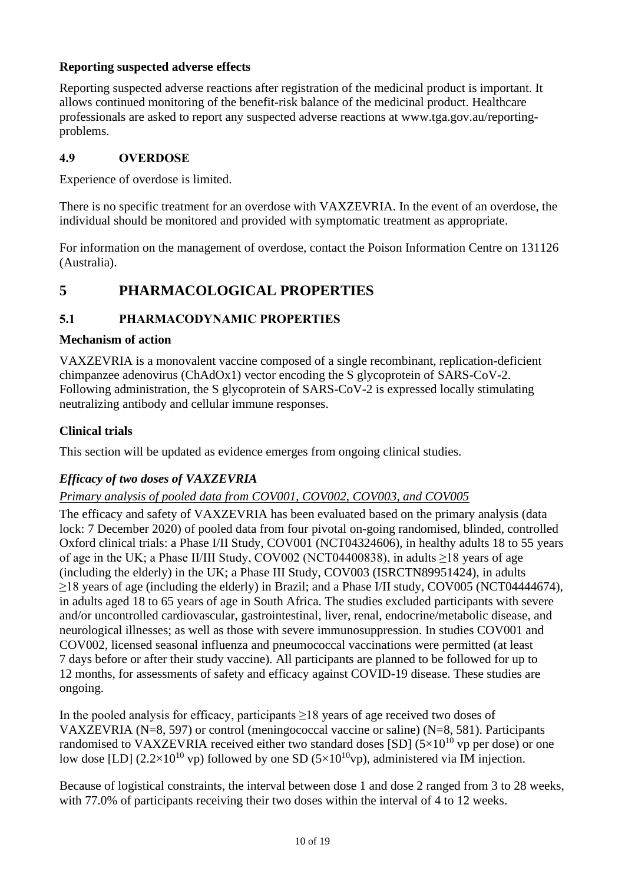## **Reporting suspected adverse effects**

Reporting suspected adverse reactions after registration of the medicinal product is important. It allows continued monitoring of the benefit-risk balance of the medicinal product. Healthcare professionals are asked to report any suspected adverse reactions at www.tga.gov.au/reportingproblems.

## **4.9 OVERDOSE**

Experience of overdose is limited.

There is no specific treatment for an overdose with VAXZEVRIA. In the event of an overdose, the individual should be monitored and provided with symptomatic treatment as appropriate.

For information on the management of overdose, contact the Poison Information Centre on 131126 (Australia).

# **5 PHARMACOLOGICAL PROPERTIES**

# <span id="page-9-0"></span>**5.1 PHARMACODYNAMIC PROPERTIES**

## **Mechanism of action**

VAXZEVRIA is a monovalent vaccine composed of a single recombinant, replication-deficient chimpanzee adenovirus (ChAdOx1) vector encoding the S glycoprotein of SARS-CoV-2. Following administration, the S glycoprotein of SARS-CoV-2 is expressed locally stimulating neutralizing antibody and cellular immune responses.

# **Clinical trials**

This section will be updated as evidence emerges from ongoing clinical studies.

# *Efficacy of two doses of VAXZEVRIA*

# *Primary analysis of pooled data from COV001, COV002, COV003, and COV005*

The efficacy and safety of VAXZEVRIA has been evaluated based on the primary analysis (data lock: 7 December 2020) of pooled data from four pivotal on-going randomised, blinded, controlled Oxford clinical trials: a Phase I/II Study, COV001 (NCT04324606), in healthy adults 18 to 55 years of age in the UK; a Phase II/III Study, COV002 (NCT04400838), in adults ≥18 years of age (including the elderly) in the UK; a Phase III Study, COV003 (ISRCTN89951424), in adults ≥18 years of age (including the elderly) in Brazil; and a Phase I/II study, COV005 (NCT04444674), in adults aged 18 to 65 years of age in South Africa. The studies excluded participants with severe and/or uncontrolled cardiovascular, gastrointestinal, liver, renal, endocrine/metabolic disease, and neurological illnesses; as well as those with severe immunosuppression. In studies COV001 and COV002, licensed seasonal influenza and pneumococcal vaccinations were permitted (at least 7 days before or after their study vaccine). All participants are planned to be followed for up to 12 months, for assessments of safety and efficacy against COVID-19 disease. These studies are ongoing.

In the pooled analysis for efficacy, participants  $\geq$ 18 years of age received two doses of VAXZEVRIA (N=8, 597) or control (meningococcal vaccine or saline) (N=8, 581). Participants randomised to VAXZEVRIA received either two standard doses [SD] ( $5\times10^{10}$  vp per dose) or one low dose [LD] (2.2×10<sup>10</sup> vp) followed by one SD (5×10<sup>10</sup>vp), administered via IM injection.

Because of logistical constraints, the interval between dose 1 and dose 2 ranged from 3 to 28 weeks, with 77.0% of participants receiving their two doses within the interval of 4 to 12 weeks.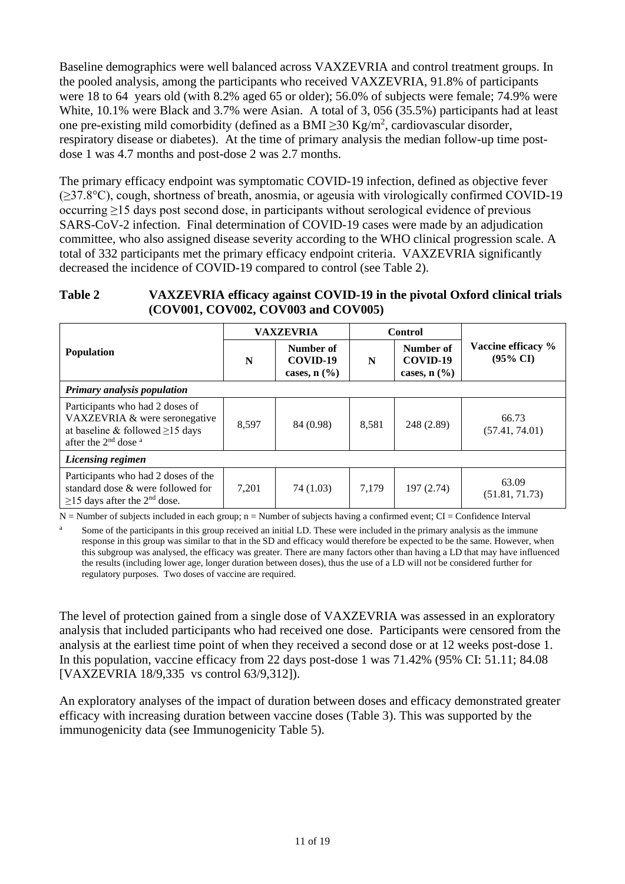Baseline demographics were well balanced across VAXZEVRIA and control treatment groups. In the pooled analysis, among the participants who received VAXZEVRIA, 91.8% of participants were 18 to 64 years old (with 8.2% aged 65 or older); 56.0% of subjects were female; 74.9% were White, 10.1% were Black and 3.7% were Asian. A total of 3, 056 (35.5%) participants had at least one pre-existing mild comorbidity (defined as a BMI  $\geq$ 30 Kg/m<sup>2</sup>, cardiovascular disorder, respiratory disease or diabetes). At the time of primary analysis the median follow-up time postdose 1 was 4.7 months and post-dose 2 was 2.7 months.

The primary efficacy endpoint was symptomatic COVID-19 infection, defined as objective fever (≥37.8°C), cough, shortness of breath, anosmia, or ageusia with virologically confirmed COVID-19 occurring ≥15 days post second dose, in participants without serological evidence of previous SARS-CoV-2 infection. Final determination of COVID-19 cases were made by an adjudication committee, who also assigned disease severity according to the WHO clinical progression scale. A total of 332 participants met the primary efficacy endpoint criteria. VAXZEVRIA significantly decreased the incidence of COVID-19 compared to control (see [Table](#page-10-0) 2).

## <span id="page-10-0"></span>**Table 2 VAXZEVRIA efficacy against COVID-19 in the pivotal Oxford clinical trials (COV001, COV002, COV003 and COV005)**

|                                                                                                                                                          | <b>VAXZEVRIA</b> |                                             | <b>Control</b> |                                             |                                           |
|----------------------------------------------------------------------------------------------------------------------------------------------------------|------------------|---------------------------------------------|----------------|---------------------------------------------|-------------------------------------------|
| <b>Population</b>                                                                                                                                        | N                | Number of<br>COVID-19<br>cases, $n$ $(\% )$ | N              | Number of<br>COVID-19<br>cases, $n$ $(\% )$ | Vaccine efficacy %<br>$(95\% \text{ CI})$ |
| Primary analysis population                                                                                                                              |                  |                                             |                |                                             |                                           |
| Participants who had 2 doses of<br>VAXZEVRIA & were seronegative<br>at baseline & followed $\geq$ 15 days<br>after the 2 <sup>nd</sup> dose <sup>a</sup> | 8,597            | 84 (0.98)                                   | 8,581          | 248 (2.89)                                  | 66.73<br>(57.41, 74.01)                   |
| Licensing regimen                                                                                                                                        |                  |                                             |                |                                             |                                           |
| Participants who had 2 doses of the<br>standard dose & were followed for<br>$\geq$ 15 days after the 2 <sup>nd</sup> dose.                               | 7,201            | 74 (1.03)                                   | 7,179          | 197 (2.74)                                  | 63.09<br>(51.81, 71.73)                   |

 $N =$  Number of subjects included in each group;  $n =$  Number of subjects having a confirmed event; CI = Confidence Interval

Some of the participants in this group received an initial LD. These were included in the primary analysis as the immune response in this group was similar to that in the SD and efficacy would therefore be expected to be the same. However, when this subgroup was analysed, the efficacy was greater. There are many factors other than having a LD that may have influenced the results (including lower age, longer duration between doses), thus the use of a LD will not be considered further for regulatory purposes. Two doses of vaccine are required.

The level of protection gained from a single dose of VAXZEVRIA was assessed in an exploratory analysis that included participants who had received one dose. Participants were censored from the analysis at the earliest time point of when they received a second dose or at 12 weeks post-dose 1. In this population, vaccine efficacy from 22 days post-dose 1 was 71.42% (95% CI: 51.11; 84.08 [VAXZEVRIA 18/9,335 vs control 63/9,312]).

An exploratory analyses of the impact of duration between doses and efficacy demonstrated greater efficacy with increasing duration between vaccine doses [\(Table](#page-11-0) 3). This was supported by the immunogenicity data (see Immunogenicity [Table](#page-14-0) 5).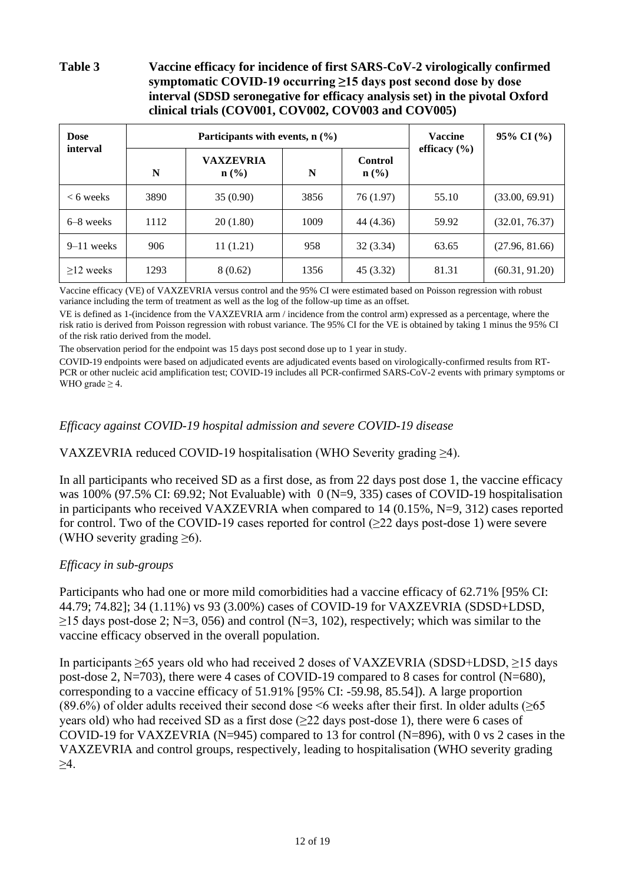## <span id="page-11-0"></span>**Table 3 Vaccine efficacy for incidence of first SARS-CoV-2 virologically confirmed symptomatic COVID-19 occurring ≥15 days post second dose by dose interval (SDSD seronegative for efficacy analysis set) in the pivotal Oxford clinical trials (COV001, COV002, COV003 and COV005)**

| <b>Dose</b><br>interval |      | Participants with events, $n$ (%)    | <b>Vaccine</b> | 95% CI (%)                         |                  |                |
|-------------------------|------|--------------------------------------|----------------|------------------------------------|------------------|----------------|
|                         | N    | <b>VAXZEVRIA</b><br>$\mathbf{n}(\%)$ | N              | <b>Control</b><br>$\mathbf{n}(\%)$ | efficacy $(\% )$ |                |
| $<$ 6 weeks             | 3890 | 35(0.90)                             | 3856           | 76 (1.97)                          | 55.10            | (33.00, 69.91) |
| $6-8$ weeks             | 1112 | 20(1.80)                             | 1009           | 44 (4.36)                          | 59.92            | (32.01, 76.37) |
| $9-11$ weeks            | 906  | 11(1.21)                             | 958            | 32(3.34)                           | 63.65            | (27.96, 81.66) |
| $>12$ weeks             | 1293 | 8(0.62)                              | 1356           | 45 (3.32)                          | 81.31            | (60.31, 91.20) |

Vaccine efficacy (VE) of VAXZEVRIA versus control and the 95% CI were estimated based on Poisson regression with robust variance including the term of treatment as well as the log of the follow-up time as an offset.

VE is defined as 1-(incidence from the VAXZEVRIA arm / incidence from the control arm) expressed as a percentage, where the risk ratio is derived from Poisson regression with robust variance. The 95% CI for the VE is obtained by taking 1 minus the 95% CI of the risk ratio derived from the model.

The observation period for the endpoint was 15 days post second dose up to 1 year in study.

COVID-19 endpoints were based on adjudicated events are adjudicated events based on virologically-confirmed results from RT-PCR or other nucleic acid amplification test; COVID-19 includes all PCR-confirmed SARS-CoV-2 events with primary symptoms or WHO grade  $\geq 4$ .

## *Efficacy against COVID-19 hospital admission and severe COVID-19 disease*

VAXZEVRIA reduced COVID-19 hospitalisation (WHO Severity grading ≥4).

In all participants who received SD as a first dose, as from 22 days post dose 1, the vaccine efficacy was 100% (97.5% CI: 69.92; Not Evaluable) with 0 (N=9, 335) cases of COVID-19 hospitalisation in participants who received VAXZEVRIA when compared to 14 (0.15%, N=9, 312) cases reported for control. Two of the COVID-19 cases reported for control (>22 days post-dose 1) were severe (WHO severity grading  $\geq 6$ ).

## *Efficacy in sub-groups*

Participants who had one or more mild comorbidities had a vaccine efficacy of 62.71% [95% CI: 44.79; 74.82]; 34 (1.11%) vs 93 (3.00%) cases of COVID-19 for VAXZEVRIA (SDSD+LDSD,  $\geq$ 15 days post-dose 2; N=3, 056) and control (N=3, 102), respectively; which was similar to the vaccine efficacy observed in the overall population.

In participants ≥65 years old who had received 2 doses of VAXZEVRIA (SDSD+LDSD, ≥15 days post-dose 2, N=703), there were 4 cases of COVID-19 compared to 8 cases for control (N=680), corresponding to a vaccine efficacy of 51.91% [95% CI: -59.98, 85.54]). A large proportion (89.6%) of older adults received their second dose  $\leq$ 6 weeks after their first. In older adults ( $\geq$ 65 years old) who had received SD as a first dose  $(\geq 22$  days post-dose 1), there were 6 cases of COVID-19 for VAXZEVRIA (N=945) compared to 13 for control (N=896), with 0 vs 2 cases in the VAXZEVRIA and control groups, respectively, leading to hospitalisation (WHO severity grading ≥4.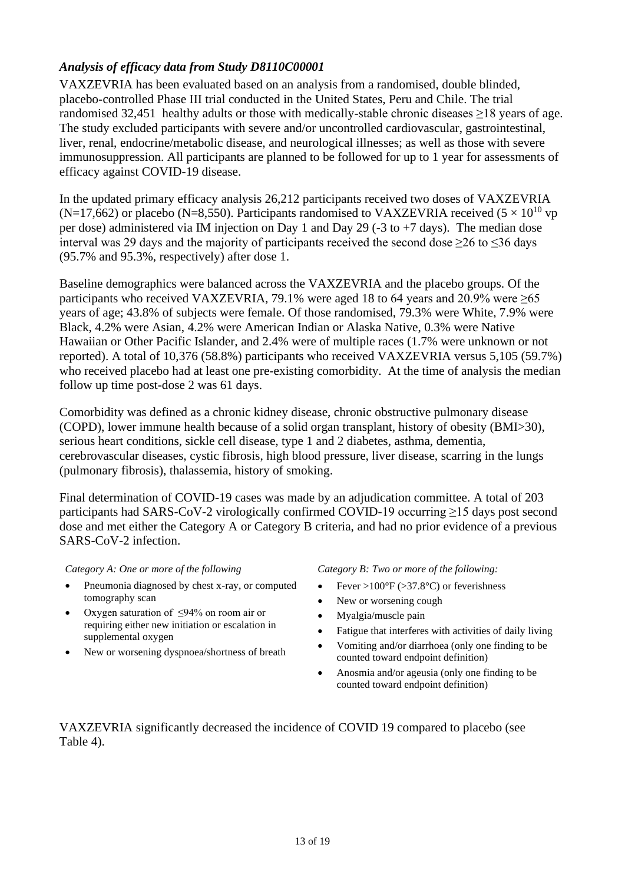# *Analysis of efficacy data from Study D8110C00001*

VAXZEVRIA has been evaluated based on an analysis from a randomised, double blinded, placebo-controlled Phase III trial conducted in the United States, Peru and Chile. The trial randomised 32,451 healthy adults or those with medically-stable chronic diseases ≥18 years of age. The study excluded participants with severe and/or uncontrolled cardiovascular, gastrointestinal, liver, renal, endocrine/metabolic disease, and neurological illnesses; as well as those with severe immunosuppression. All participants are planned to be followed for up to 1 year for assessments of efficacy against COVID-19 disease.

In the updated primary efficacy analysis 26,212 participants received two doses of VAXZEVRIA (N=17,662) or placebo (N=8,550). Participants randomised to VAXZEVRIA received ( $5 \times 10^{10}$  vp per dose) administered via IM injection on Day 1 and Day 29 (-3 to +7 days). The median dose interval was 29 days and the majority of participants received the second dose  $\geq$ 26 to  $\leq$ 36 days (95.7% and 95.3%, respectively) after dose 1.

Baseline demographics were balanced across the VAXZEVRIA and the placebo groups. Of the participants who received VAXZEVRIA, 79.1% were aged 18 to 64 years and 20.9% were  $\geq 65$ years of age; 43.8% of subjects were female. Of those randomised, 79.3% were White, 7.9% were Black, 4.2% were Asian, 4.2% were American Indian or Alaska Native, 0.3% were Native Hawaiian or Other Pacific Islander, and 2.4% were of multiple races (1.7% were unknown or not reported). A total of 10,376 (58.8%) participants who received VAXZEVRIA versus 5,105 (59.7%) who received placebo had at least one pre-existing comorbidity. At the time of analysis the median follow up time post-dose 2 was 61 days.

Comorbidity was defined as a chronic kidney disease, chronic obstructive pulmonary disease (COPD), lower immune health because of a solid organ transplant, history of obesity (BMI>30), serious heart conditions, sickle cell disease, type 1 and 2 diabetes, asthma, dementia, cerebrovascular diseases, cystic fibrosis, high blood pressure, liver disease, scarring in the lungs (pulmonary fibrosis), thalassemia, history of smoking.

Final determination of COVID-19 cases was made by an adjudication committee. A total of 203 participants had SARS-CoV-2 virologically confirmed COVID-19 occurring ≥15 days post second dose and met either the Category A or Category B criteria, and had no prior evidence of a previous SARS-CoV-2 infection.

- Pneumonia diagnosed by chest x-ray, or computed tomography scan
- Oxygen saturation of ≤94% on room air or requiring either new initiation or escalation in supplemental oxygen
- New or worsening dyspnoea/shortness of breath

*Category A: One or more of the following Category B: Two or more of the following:*

- Fever >100 $\degree$ F (>37.8 $\degree$ C) or feverishness
- New or worsening cough
- Myalgia/muscle pain
- Fatigue that interferes with activities of daily living
- Vomiting and/or diarrhoea (only one finding to be counted toward endpoint definition)
- Anosmia and/or ageusia (only one finding to be counted toward endpoint definition)

VAXZEVRIA significantly decreased the incidence of COVID 19 compared to placebo (see [Table](#page-13-0) 4).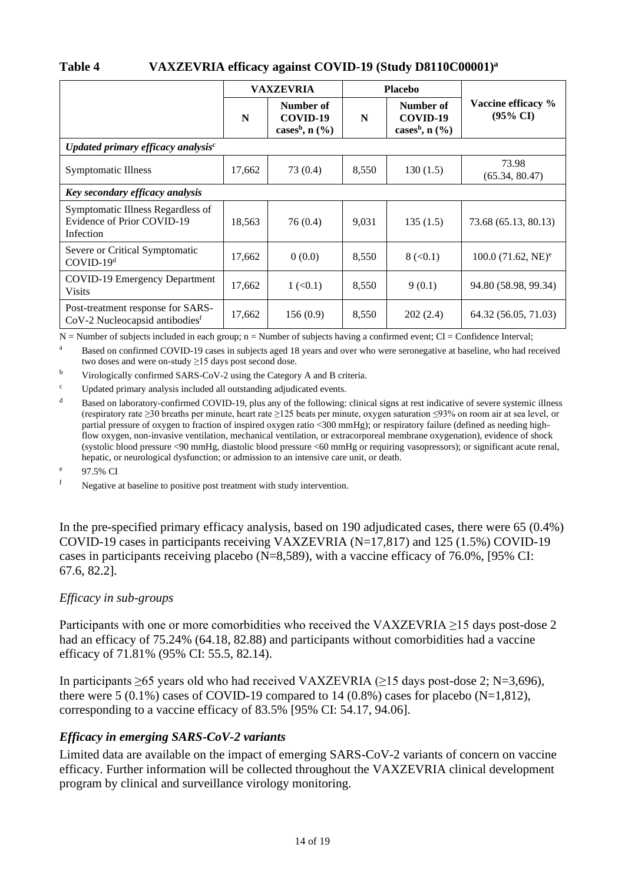## <span id="page-13-0"></span>**Table 4 VAXZEVRIA efficacy against COVID-19 (Study D8110C00001)<sup>a</sup>**

|                                                                                 | <b>VAXZEVRIA</b> |                                                       | <b>Placebo</b> |                                                       |                                           |
|---------------------------------------------------------------------------------|------------------|-------------------------------------------------------|----------------|-------------------------------------------------------|-------------------------------------------|
|                                                                                 | N                | Number of<br>COVID-19<br>cases <sup>b</sup> , $n$ (%) | N              | Number of<br>COVID-19<br>cases <sup>b</sup> , $n$ (%) | Vaccine efficacy %<br>$(95\% \text{ CI})$ |
| Updated primary efficacy analysis $c$                                           |                  |                                                       |                |                                                       |                                           |
| <b>Symptomatic Illness</b>                                                      | 17,662           | 73 (0.4)                                              | 8,550          | 130(1.5)                                              | 73.98<br>(65.34, 80.47)                   |
| Key secondary efficacy analysis                                                 |                  |                                                       |                |                                                       |                                           |
| Symptomatic Illness Regardless of<br>Evidence of Prior COVID-19<br>Infection    | 18,563           | 76(0.4)                                               | 9,031          | 135(1.5)                                              | 73.68 (65.13, 80.13)                      |
| Severe or Critical Symptomatic<br>COVID-19 <sup>d</sup>                         | 17,662           | 0(0.0)                                                | 8,550          | 8 (< 0.1)                                             | $100.0$ (71.62, NE) <sup>e</sup>          |
| <b>COVID-19 Emergency Department</b><br><b>Visits</b>                           | 17,662           | $1 \left( 0.1 \right)$                                | 8,550          | 9(0.1)                                                | 94.80 (58.98, 99.34)                      |
| Post-treatment response for SARS-<br>CoV-2 Nucleocapsid antibodies <sup>f</sup> | 17,662           | 156(0.9)                                              | 8,550          | 202(2.4)                                              | 64.32 (56.05, 71.03)                      |

 $N =$  Number of subjects included in each group;  $n =$  Number of subjects having a confirmed event; CI = Confidence Interval;

<sup>a</sup> Based on confirmed COVID-19 cases in subjects aged 18 years and over who were seronegative at baseline, who had received two doses and were on-study ≥15 days post second dose.

<sup>b</sup> Virologically confirmed SARS-CoV-2 using the Category A and B criteria.

<sup>c</sup> Updated primary analysis included all outstanding adjudicated events.

<sup>d</sup> Based on laboratory-confirmed COVID-19, plus any of the following: clinical signs at rest indicative of severe systemic illness (respiratory rate ≥30 breaths per minute, heart rate ≥125 beats per minute, oxygen saturation ≤93% on room air at sea level, or partial pressure of oxygen to fraction of inspired oxygen ratio <300 mmHg); or respiratory failure (defined as needing highflow oxygen, non-invasive ventilation, mechanical ventilation, or extracorporeal membrane oxygenation), evidence of shock (systolic blood pressure <90 mmHg, diastolic blood pressure <60 mmHg or requiring vasopressors); or significant acute renal, hepatic, or neurological dysfunction; or admission to an intensive care unit, or death.

e 97.5% CI

<sup>f</sup> Negative at baseline to positive post treatment with study intervention.

In the pre-specified primary efficacy analysis, based on 190 adjudicated cases, there were 65 (0.4%) COVID-19 cases in participants receiving VAXZEVRIA (N=17,817) and 125 (1.5%) COVID-19 cases in participants receiving placebo (N=8,589), with a vaccine efficacy of 76.0%, [95% CI: 67.6, 82.2].

## *Efficacy in sub-groups*

Participants with one or more comorbidities who received the VAXZEVRIA ≥15 days post-dose 2 had an efficacy of 75.24% (64.18, 82.88) and participants without comorbidities had a vaccine efficacy of 71.81% (95% CI: 55.5, 82.14).

In participants  $\geq 65$  years old who had received VAXZEVRIA ( $\geq 15$  days post-dose 2; N=3,696), there were 5 (0.1%) cases of COVID-19 compared to 14 (0.8%) cases for placebo (N=1,812), corresponding to a vaccine efficacy of 83.5% [95% CI: 54.17, 94.06].

## *Efficacy in emerging SARS-CoV-2 variants*

Limited data are available on the impact of emerging SARS-CoV-2 variants of concern on vaccine efficacy. Further information will be collected throughout the VAXZEVRIA clinical development program by clinical and surveillance virology monitoring.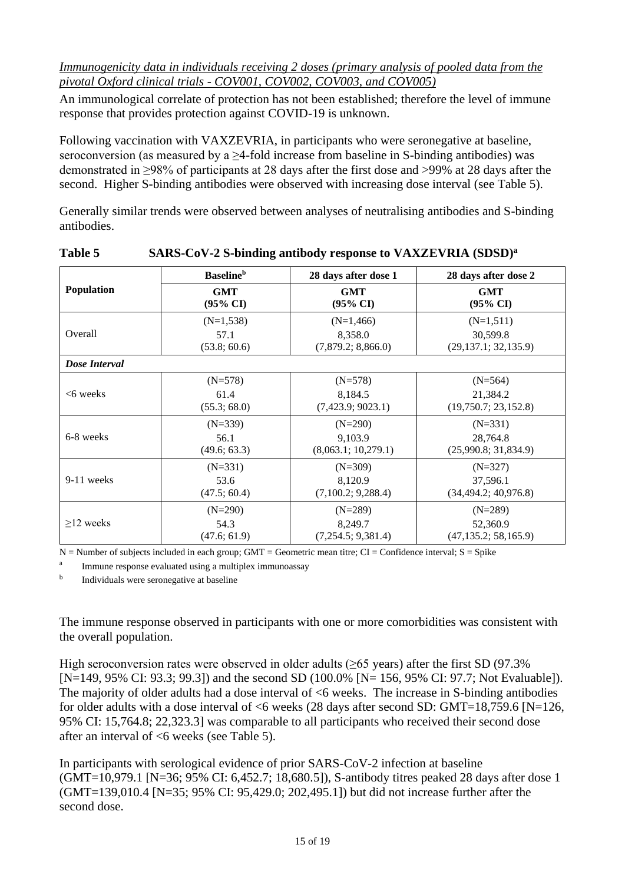*Immunogenicity data in individuals receiving 2 doses (primary analysis of pooled data from the pivotal Oxford clinical trials - COV001, COV002, COV003, and COV005)*

An immunological correlate of protection has not been established; therefore the level of immune response that provides protection against COVID-19 is unknown.

Following vaccination with VAXZEVRIA, in participants who were seronegative at baseline, seroconversion (as measured by a  $\geq$ 4-fold increase from baseline in S-binding antibodies) was demonstrated in ≥98% of participants at 28 days after the first dose and >99% at 28 days after the second. Higher S-binding antibodies were observed with increasing dose interval (see [Table](#page-14-0) 5).

Generally similar trends were observed between analyses of neutralising antibodies and S-binding antibodies.

|                   | <b>Baseline</b> <sup>b</sup>      | 28 days after dose 1              | 28 days after dose 2               |  |
|-------------------|-----------------------------------|-----------------------------------|------------------------------------|--|
| <b>Population</b> | <b>GMT</b><br>$(95\% \text{ CI})$ | <b>GMT</b><br>$(95\% \text{ CI})$ | <b>GMT</b><br>$(95\% \text{ CI})$  |  |
|                   | $(N=1,538)$                       | $(N=1,466)$                       | $(N=1,511)$                        |  |
| Overall           | 57.1<br>(53.8; 60.6)              | 8,358.0<br>(7,879.2; 8,866.0)     | 30,599.8<br>(29, 137.1; 32, 135.9) |  |
| Dose Interval     |                                   |                                   |                                    |  |
|                   | $(N=578)$                         | $(N=578)$                         | $(N=564)$                          |  |
| $<6$ weeks        | 61.4<br>(55.3; 68.0)              | 8,184.5<br>(7,423.9; 9023.1)      | 21,384.2<br>(19,750.7; 23,152.8)   |  |
|                   | $(N=339)$                         | $(N=290)$                         | $(N=331)$                          |  |
| 6-8 weeks         | 56.1<br>(49.6; 63.3)              | 9.103.9<br>(8,063.1; 10,279.1)    | 28,764.8<br>(25,990.8; 31,834.9)   |  |
|                   | $(N=331)$                         | $(N=309)$                         | $(N=327)$                          |  |
| 9-11 weeks        | 53.6<br>(47.5; 60.4)              | 8,120.9<br>(7,100.2; 9,288.4)     | 37,596.1<br>(34, 494.2; 40, 976.8) |  |
|                   | $(N=290)$                         | $(N=289)$                         | $(N=289)$                          |  |
| $>12$ weeks       | 54.3                              | 8,249.7                           | 52,360.9                           |  |
|                   | (47.6; 61.9)                      | (7,254.5; 9,381.4)                | (47, 135.2; 58, 165.9)             |  |

<span id="page-14-0"></span>

| <b>Table 5</b> | SARS-CoV-2 S-binding antibody response to VAXZEVRIA (SDSD) <sup>a</sup> |
|----------------|-------------------------------------------------------------------------|
|                |                                                                         |

 $N =$  Number of subjects included in each group; GMT = Geometric mean titre; CI = Confidence interval; S = Spike

a Immune response evaluated using a multiplex immunoassay

b Individuals were seronegative at baseline

The immune response observed in participants with one or more comorbidities was consistent with the overall population.

High seroconversion rates were observed in older adults ( $\geq$ 65 years) after the first SD (97.3% [N=149, 95% CI: 93.3; 99.3]) and the second SD (100.0% [N= 156, 95% CI: 97.7; Not Evaluable]). The majority of older adults had a dose interval of  $<$ 6 weeks. The increase in S-binding antibodies for older adults with a dose interval of <6 weeks (28 days after second SD: GMT=18,759.6 [N=126, 95% CI: 15,764.8; 22,323.3] was comparable to all participants who received their second dose after an interval of <6 weeks (see [Table](#page-14-0) 5).

In participants with serological evidence of prior SARS-CoV-2 infection at baseline (GMT=10,979.1 [N=36; 95% CI: 6,452.7; 18,680.5]), S-antibody titres peaked 28 days after dose 1 (GMT=139,010.4 [N=35; 95% CI: 95,429.0; 202,495.1]) but did not increase further after the second dose.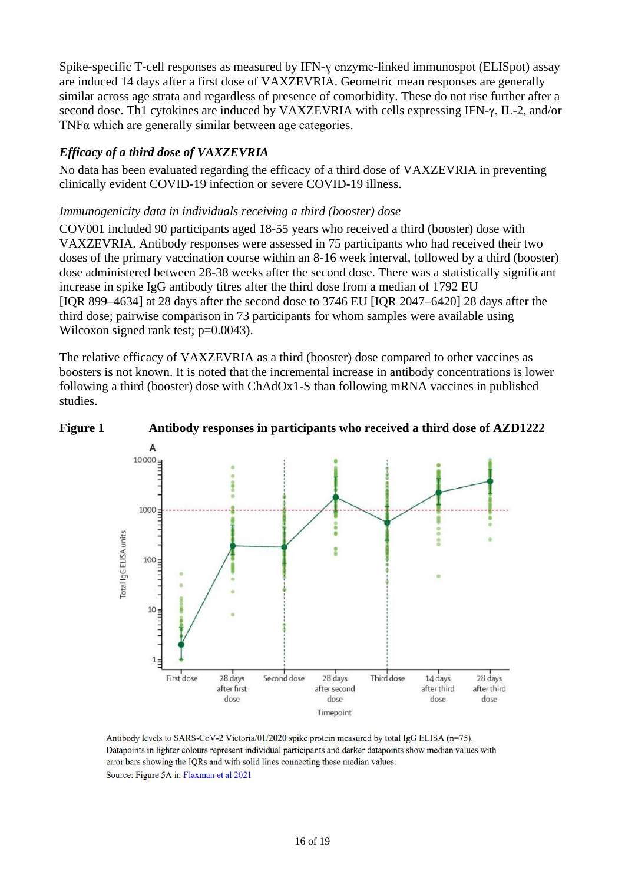Spike-specific T-cell responses as measured by IFN-y enzyme-linked immunospot (ELISpot) assay are induced 14 days after a first dose of VAXZEVRIA. Geometric mean responses are generally similar across age strata and regardless of presence of comorbidity. These do not rise further after a second dose. Th1 cytokines are induced by VAXZEVRIA with cells expressing IFN-γ, IL-2, and/or TNFα which are generally similar between age categories.

## *Efficacy of a third dose of VAXZEVRIA*

No data has been evaluated regarding the efficacy of a third dose of VAXZEVRIA in preventing clinically evident COVID-19 infection or severe COVID-19 illness.

#### *Immunogenicity data in individuals receiving a third (booster) dose*

COV001 included 90 participants aged 18-55 years who received a third (booster) dose with VAXZEVRIA. Antibody responses were assessed in 75 participants who had received their two doses of the primary vaccination course within an 8-16 week interval, followed by a third (booster) dose administered between 28-38 weeks after the second dose. There was a statistically significant increase in spike IgG antibody titres after the third dose from a median of 1792 EU [IQR 899–4634] at 28 days after the second dose to 3746 EU [IQR 2047–6420] 28 days after the third dose; pairwise comparison in 73 participants for whom samples were available using Wilcoxon signed rank test; p=0.0043).

The relative efficacy of VAXZEVRIA as a third (booster) dose compared to other vaccines as boosters is not known. It is noted that the incremental increase in antibody concentrations is lower following a third (booster) dose with ChAdOx1-S than following mRNA vaccines in published studies.





Antibody levels to SARS-CoV-2 Victoria/01/2020 spike protein measured by total IgG ELISA (n=75). Datapoints in lighter colours represent individual participants and darker datapoints show median values with error bars showing the IQRs and with solid lines connecting these median values. Source: Figure 5A in Flaxman et al 2021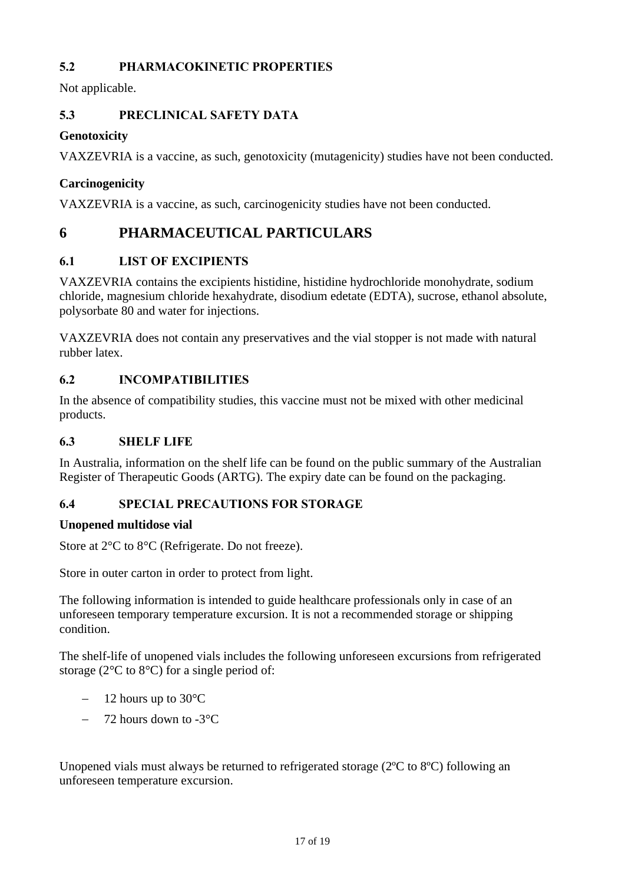# **5.2 PHARMACOKINETIC PROPERTIES**

Not applicable.

# **5.3 PRECLINICAL SAFETY DATA**

# **Genotoxicity**

VAXZEVRIA is a vaccine, as such, genotoxicity (mutagenicity) studies have not been conducted.

# **Carcinogenicity**

VAXZEVRIA is a vaccine, as such, carcinogenicity studies have not been conducted.

# **6 PHARMACEUTICAL PARTICULARS**

# <span id="page-16-0"></span>**6.1 LIST OF EXCIPIENTS**

VAXZEVRIA contains the excipients histidine, histidine hydrochloride monohydrate, sodium chloride, magnesium chloride hexahydrate, disodium edetate (EDTA), sucrose, ethanol absolute, polysorbate 80 and water for injections.

VAXZEVRIA does not contain any preservatives and the vial stopper is not made with natural rubber latex.

# **6.2 INCOMPATIBILITIES**

In the absence of compatibility studies, this vaccine must not be mixed with other medicinal products.

# **6.3 SHELF LIFE**

In Australia, information on the shelf life can be found on the public summary of the Australian Register of Therapeutic Goods (ARTG). The expiry date can be found on the packaging.

# **6.4 SPECIAL PRECAUTIONS FOR STORAGE**

# **Unopened multidose vial**

Store at 2°C to 8°C (Refrigerate. Do not freeze).

Store in outer carton in order to protect from light.

The following information is intended to guide healthcare professionals only in case of an unforeseen temporary temperature excursion. It is not a recommended storage or shipping condition.

The shelf-life of unopened vials includes the following unforeseen excursions from refrigerated storage (2°C to 8°C) for a single period of:

- − 12 hours up to 30°C
- − 72 hours down to -3°C

Unopened vials must always be returned to refrigerated storage (2ºC to 8ºC) following an unforeseen temperature excursion.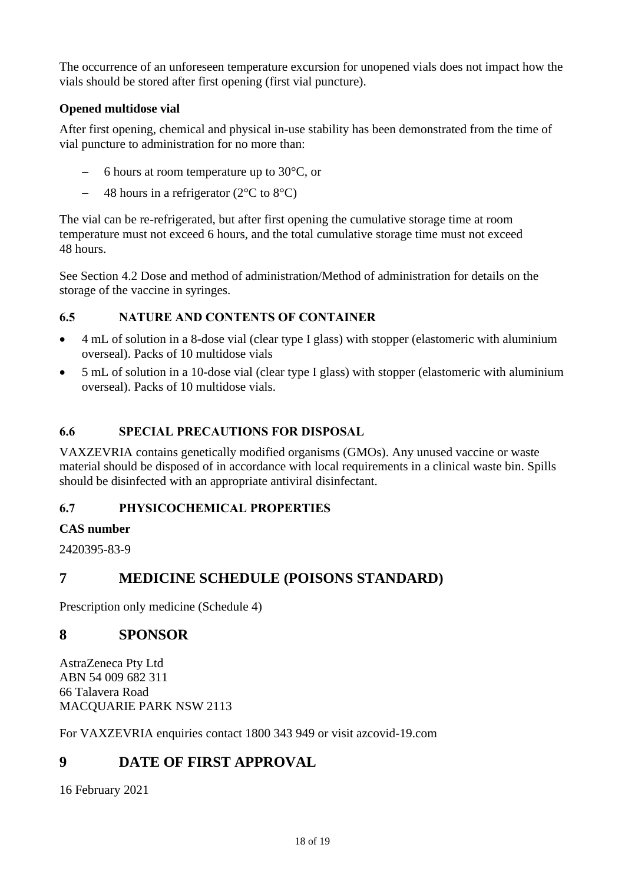The occurrence of an unforeseen temperature excursion for unopened vials does not impact how the vials should be stored after first opening (first vial puncture).

# **Opened multidose vial**

After first opening, chemical and physical in-use stability has been demonstrated from the time of vial puncture to administration for no more than:

- − 6 hours at room temperature up to 30°C, or
- − 48 hours in a refrigerator (2°C to 8°C)

The vial can be re-refrigerated, but after first opening the cumulative storage time at room temperature must not exceed 6 hours, and the total cumulative storage time must not exceed 48 hours.

See Section [4.2](#page-1-0) [Dose and method of administration/](#page-1-0)Method of administration for details on the storage of the vaccine in syringes.

# **6.5 NATURE AND CONTENTS OF CONTAINER**

- 4 mL of solution in a 8-dose vial (clear type I glass) with stopper (elastomeric with aluminium overseal). Packs of 10 multidose vials
- 5 mL of solution in a 10-dose vial (clear type I glass) with stopper (elastomeric with aluminium overseal). Packs of 10 multidose vials.

## <span id="page-17-0"></span>**6.6 SPECIAL PRECAUTIONS FOR DISPOSAL**

VAXZEVRIA contains genetically modified organisms (GMOs). Any unused vaccine or waste material should be disposed of in accordance with local requirements in a clinical waste bin. Spills should be disinfected with an appropriate antiviral disinfectant.

# **6.7 PHYSICOCHEMICAL PROPERTIES**

## **CAS number**

2420395-83-9

# **7 MEDICINE SCHEDULE (POISONS STANDARD)**

Prescription only medicine (Schedule 4)

# **8 SPONSOR**

AstraZeneca Pty Ltd ABN 54 009 682 311 66 Talavera Road MACQUARIE PARK NSW 2113

For VAXZEVRIA enquiries contact 1800 343 949 or visit azcovid-19.com

# **9 DATE OF FIRST APPROVAL**

16 February 2021